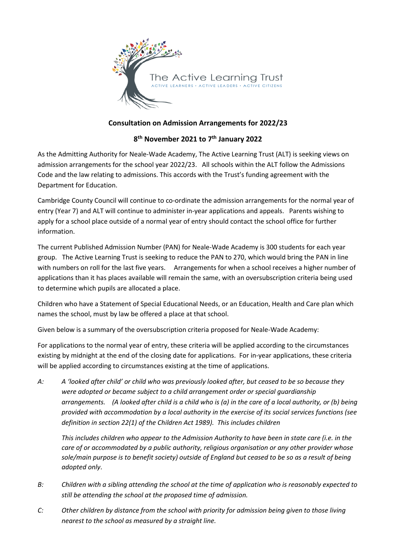

## **Consultation on Admission Arrangements for 2022/23**

## **8 th November 2021 to 7 th January 2022**

As the Admitting Authority for Neale-Wade Academy, The Active Learning Trust (ALT) is seeking views on admission arrangements for the school year 2022/23. All schools within the ALT follow the Admissions Code and the law relating to admissions. This accords with the Trust's funding agreement with the Department for Education.

Cambridge County Council will continue to co-ordinate the admission arrangements for the normal year of entry (Year 7) and ALT will continue to administer in-year applications and appeals. Parents wishing to apply for a school place outside of a normal year of entry should contact the school office for further information.

The current Published Admission Number (PAN) for Neale-Wade Academy is 300 students for each year group. The Active Learning Trust is seeking to reduce the PAN to 270, which would bring the PAN in line with numbers on roll for the last five years. Arrangements for when a school receives a higher number of applications than it has places available will remain the same, with an oversubscription criteria being used to determine which pupils are allocated a place.

Children who have a Statement of Special Educational Needs, or an Education, Health and Care plan which names the school, must by law be offered a place at that school.

Given below is a summary of the oversubscription criteria proposed for Neale-Wade Academy:

For applications to the normal year of entry, these criteria will be applied according to the circumstances existing by midnight at the end of the closing date for applications. For in-year applications, these criteria will be applied according to circumstances existing at the time of applications.

*A: A 'looked after child' or child who was previously looked after, but ceased to be so because they were adopted or became subject to a child arrangement order or special guardianship arrangements. (A looked after child is a child who is (a) in the care of a local authority, or (b) being provided with accommodation by a local authority in the exercise of its social services functions (see definition in section 22(1) of the Children Act 1989). This includes children*

*This includes children who appear to the Admission Authority to have been in state care (i.e. in the care of or accommodated by a public authority, religious organisation or any other provider whose sole/main purpose is to benefit society) outside of England but ceased to be so as a result of being adopted only*.

- *B: Children with a sibling attending the school at the time of application who is reasonably expected to still be attending the school at the proposed time of admission.*
- *C: Other children by distance from the school with priority for admission being given to those living nearest to the school as measured by a straight line.*